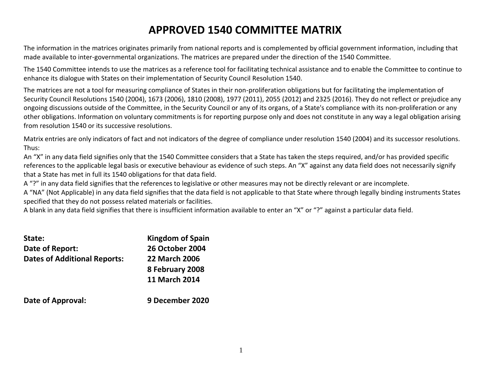## **APPROVED 1540 COMMITTEE MATRIX**

The information in the matrices originates primarily from national reports and is complemented by official government information, including that made available to inter-governmental organizations. The matrices are prepared under the direction of the 1540 Committee.

The 1540 Committee intends to use the matrices as a reference tool for facilitating technical assistance and to enable the Committee to continue to enhance its dialogue with States on their implementation of Security Council Resolution 1540.

The matrices are not a tool for measuring compliance of States in their non-proliferation obligations but for facilitating the implementation of Security Council Resolutions 1540 (2004), 1673 (2006), 1810 (2008), 1977 (2011), 2055 (2012) and 2325 (2016). They do not reflect or prejudice any ongoing discussions outside of the Committee, in the Security Council or any of its organs, of a State's compliance with its non-proliferation or any other obligations. Information on voluntary commitments is for reporting purpose only and does not constitute in any way a legal obligation arising from resolution 1540 or its successive resolutions.

Matrix entries are only indicators of fact and not indicators of the degree of compliance under resolution 1540 (2004) and its successor resolutions. Thus:

An "X" in any data field signifies only that the 1540 Committee considers that a State has taken the steps required, and/or has provided specific references to the applicable legal basis or executive behaviour as evidence of such steps. An "X" against any data field does not necessarily signify that a State has met in full its 1540 obligations for that data field.

A "?" in any data field signifies that the references to legislative or other measures may not be directly relevant or are incomplete.

A "NA" (Not Applicable) in any data field signifies that the data field is not applicable to that State where through legally binding instruments States specified that they do not possess related materials or facilities.

A blank in any data field signifies that there is insufficient information available to enter an "X" or "?" against a particular data field.

| State:                              | <b>Kingdom of Spain</b> |
|-------------------------------------|-------------------------|
| Date of Report:                     | <b>26 October 2004</b>  |
| <b>Dates of Additional Reports:</b> | <b>22 March 2006</b>    |
|                                     | 8 February 2008         |
|                                     | <b>11 March 2014</b>    |
| <b>Date of Approval:</b>            | 9 December 2020         |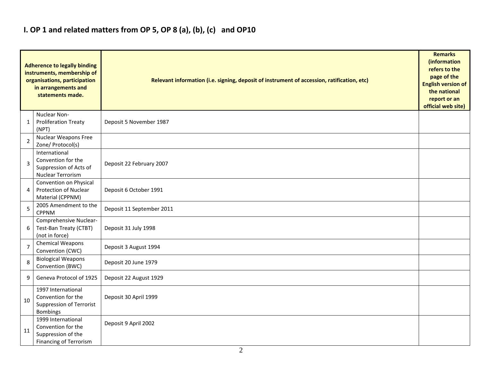### **I. OP 1 and related matters from OP 5, OP 8 (a), (b), (c) and OP10**

|                | <b>Adherence to legally binding</b><br>instruments, membership of<br>organisations, participation<br>in arrangements and<br>statements made. | Relevant information (i.e. signing, deposit of instrument of accession, ratification, etc) |  |  |  |  |  |  |  |  |
|----------------|----------------------------------------------------------------------------------------------------------------------------------------------|--------------------------------------------------------------------------------------------|--|--|--|--|--|--|--|--|
| 1              | Nuclear Non-<br><b>Proliferation Treaty</b><br>(NPT)                                                                                         | Deposit 5 November 1987                                                                    |  |  |  |  |  |  |  |  |
| $\overline{2}$ | <b>Nuclear Weapons Free</b><br>Zone/ Protocol(s)                                                                                             |                                                                                            |  |  |  |  |  |  |  |  |
| 3              | International<br>Convention for the<br>Suppression of Acts of<br>Nuclear Terrorism                                                           | Deposit 22 February 2007                                                                   |  |  |  |  |  |  |  |  |
| 4              | Convention on Physical<br>Protection of Nuclear<br>Material (CPPNM)                                                                          | Deposit 6 October 1991                                                                     |  |  |  |  |  |  |  |  |
| 5              | 2005 Amendment to the<br><b>CPPNM</b>                                                                                                        | Deposit 11 September 2011                                                                  |  |  |  |  |  |  |  |  |
| 6              | Comprehensive Nuclear-<br>Test-Ban Treaty (CTBT)<br>(not in force)                                                                           | Deposit 31 July 1998                                                                       |  |  |  |  |  |  |  |  |
| $\overline{7}$ | Chemical Weapons<br>Convention (CWC)                                                                                                         | Deposit 3 August 1994                                                                      |  |  |  |  |  |  |  |  |
| 8              | <b>Biological Weapons</b><br>Convention (BWC)                                                                                                | Deposit 20 June 1979                                                                       |  |  |  |  |  |  |  |  |
| 9              | Geneva Protocol of 1925                                                                                                                      | Deposit 22 August 1929                                                                     |  |  |  |  |  |  |  |  |
| 10             | 1997 International<br>Convention for the<br>Suppression of Terrorist<br><b>Bombings</b>                                                      | Deposit 30 April 1999                                                                      |  |  |  |  |  |  |  |  |
| 11             | 1999 International<br>Convention for the<br>Suppression of the<br>Financing of Terrorism                                                     | Deposit 9 April 2002                                                                       |  |  |  |  |  |  |  |  |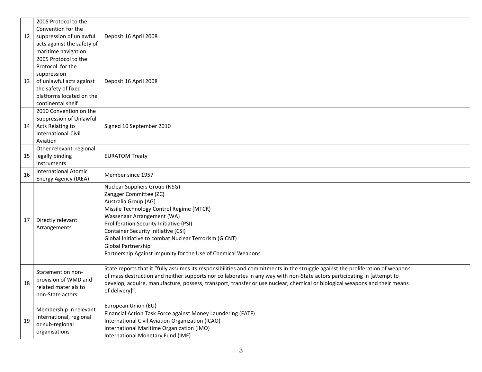| 12 | 2005 Protocol to the<br>Convention for the<br>suppression of unlawful<br>acts against the safety of<br>maritime navigation                                  | Deposit 16 April 2008                                                                                                                                                                                                                                                                                                                                                                                     |  |
|----|-------------------------------------------------------------------------------------------------------------------------------------------------------------|-----------------------------------------------------------------------------------------------------------------------------------------------------------------------------------------------------------------------------------------------------------------------------------------------------------------------------------------------------------------------------------------------------------|--|
| 13 | 2005 Protocol to the<br>Protocol for the<br>suppression<br>of unlawful acts against<br>the safety of fixed<br>platforms located on the<br>continental shelf | Deposit 16 April 2008                                                                                                                                                                                                                                                                                                                                                                                     |  |
| 14 | 2010 Convention on the<br>Suppression of Unlawful<br>Acts Relating to<br><b>International Civil</b><br>Aviation                                             | Signed 10 September 2010                                                                                                                                                                                                                                                                                                                                                                                  |  |
| 15 | Other relevant regional<br>legally binding<br>instruments                                                                                                   | <b>EURATOM Treaty</b>                                                                                                                                                                                                                                                                                                                                                                                     |  |
| 16 | International Atomic<br>Energy Agency (IAEA)                                                                                                                | Member since 1957                                                                                                                                                                                                                                                                                                                                                                                         |  |
| 17 | Directly relevant<br>Arrangements                                                                                                                           | <b>Nuclear Suppliers Group (NSG)</b><br>Zangger Committee (ZC)<br>Australia Group (AG)<br>Missile Technology Control Regime (MTCR)<br>Wassenaar Arrangement (WA)<br>Proliferation Security Initiative (PSI)<br><b>Container Security Initiative (CSI)</b><br>Global Initiative to combat Nuclear Terrorism (GICNT)<br>Global Partnership<br>Partnership Against Impunity for the Use of Chemical Weapons  |  |
| 18 | Statement on non-<br>provision of WMD and<br>related materials to<br>non-State actors                                                                       | State reports that it "fully assumes its responsibilities and commitments in the struggle against the proliferation of weapons<br>of mass destruction and neither supports nor collaborates in any way with non-State actors participating in [attempt to<br>develop, acquire, manufacture, possess, transport, transfer or use nuclear, chemical or biological weapons and their means<br>of delivery]". |  |
| 19 | Membership in relevant<br>international, regional<br>or sub-regional<br>organisations                                                                       | European Union (EU)<br>Financial Action Task Force against Money Laundering (FATF)<br>International Civil Aviation Organization (ICAO)<br>International Maritime Organization (IMO)<br>International Monetary Fund (IMF)                                                                                                                                                                                  |  |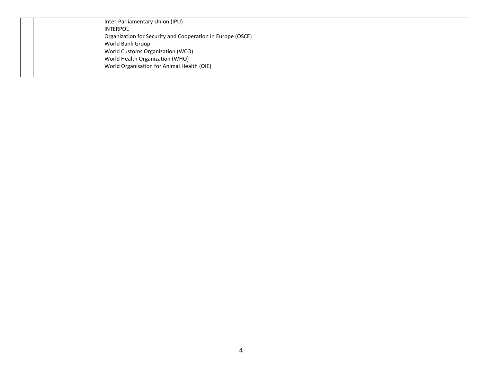|  | Inter-Parliamentary Union (IPU)<br>INTERPOL<br>Organization for Security and Cooperation in Europe (OSCE)<br>World Bank Group<br>World Customs Organization (WCO)<br>World Health Organization (WHO)<br>World Organisation for Animal Health (OIE) |  |
|--|----------------------------------------------------------------------------------------------------------------------------------------------------------------------------------------------------------------------------------------------------|--|
|  |                                                                                                                                                                                                                                                    |  |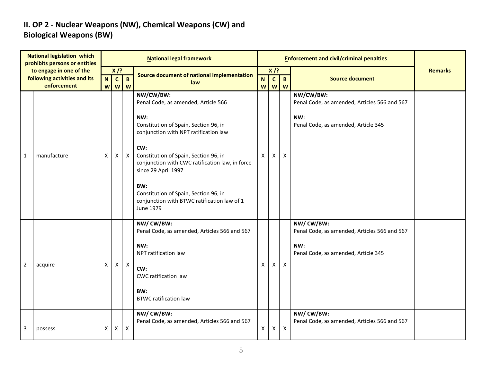#### **II. OP 2 - Nuclear Weapons (NW), Chemical Weapons (CW) and Biological Weapons (BW)**

|                | <b>National legislation which</b><br>prohibits persons or entities     |        |                                                     |                           | <b>National legal framework</b>                                                                                                                                                                                                                                                                                                                                                 |                  |                             |                   | <b>Enforcement and civil/criminal penalties</b>                                                         |                |
|----------------|------------------------------------------------------------------------|--------|-----------------------------------------------------|---------------------------|---------------------------------------------------------------------------------------------------------------------------------------------------------------------------------------------------------------------------------------------------------------------------------------------------------------------------------------------------------------------------------|------------------|-----------------------------|-------------------|---------------------------------------------------------------------------------------------------------|----------------|
|                | to engage in one of the<br>following activities and its<br>enforcement | N<br>W | $X$ /?<br>$\mathbf{C}$<br>$\boldsymbol{\mathsf{W}}$ | $\mathbf B$<br>W          | Source document of national implementation<br>law                                                                                                                                                                                                                                                                                                                               | $\mathbf N$<br>W | $X$ /?<br>$\mathbf{c}$<br>W | $\mathbf{B}$<br>W | <b>Source document</b>                                                                                  | <b>Remarks</b> |
| $\mathbf{1}$   | manufacture                                                            | X      | X                                                   | $\mathsf{X}$              | NW/CW/BW:<br>Penal Code, as amended, Article 566<br>NW:<br>Constitution of Spain, Section 96, in<br>conjunction with NPT ratification law<br>CW:<br>Constitution of Spain, Section 96, in<br>conjunction with CWC ratification law, in force<br>since 29 April 1997<br>BW:<br>Constitution of Spain, Section 96, in<br>conjunction with BTWC ratification law of 1<br>June 1979 | X                | X                           | $\mathsf{x}$      | NW/CW/BW:<br>Penal Code, as amended, Articles 566 and 567<br>NW:<br>Penal Code, as amended, Article 345 |                |
| $\overline{2}$ | acquire                                                                | X      | $\pmb{\mathsf{X}}$                                  | $\mathsf{X}$              | NW/CW/BW:<br>Penal Code, as amended, Articles 566 and 567<br>NW:<br>NPT ratification law<br>CW:<br>CWC ratification law<br>BW:<br><b>BTWC ratification law</b>                                                                                                                                                                                                                  | $\mathsf{X}$     | X                           | $\pmb{\times}$    | NW/CW/BW:<br>Penal Code, as amended, Articles 566 and 567<br>NW:<br>Penal Code, as amended, Article 345 |                |
| 3              | possess                                                                | Χ      | $\boldsymbol{\mathsf{X}}$                           | $\boldsymbol{\mathsf{X}}$ | NW/ CW/BW:<br>Penal Code, as amended, Articles 566 and 567                                                                                                                                                                                                                                                                                                                      | X                | Χ                           | $\mathsf{X}$      | NW/ CW/BW:<br>Penal Code, as amended, Articles 566 and 567                                              |                |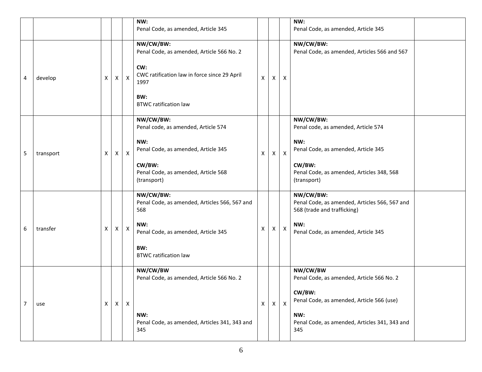|                |           |   |                    |              | NW:<br>Penal Code, as amended, Article 345                        |              |   |                           | NW:<br>Penal Code, as amended, Article 345                                                |
|----------------|-----------|---|--------------------|--------------|-------------------------------------------------------------------|--------------|---|---------------------------|-------------------------------------------------------------------------------------------|
|                |           |   |                    |              | NW/CW/BW:<br>Penal Code, as amended, Article 566 No. 2            |              |   |                           | NW/CW/BW:<br>Penal Code, as amended, Articles 566 and 567                                 |
| 4              | develop   | х | $\pmb{\mathsf{X}}$ | $\mathsf{X}$ | CW:<br>CWC ratification law in force since 29 April<br>1997       | X            | X | X                         |                                                                                           |
|                |           |   |                    |              | BW:<br><b>BTWC ratification law</b>                               |              |   |                           |                                                                                           |
|                |           |   |                    |              | NW/CW/BW:<br>Penal code, as amended, Article 574                  |              |   |                           | NW/CW/BW:<br>Penal code, as amended, Article 574                                          |
| 5              | transport | X | $\mathsf{X}$       | $\mathsf{X}$ | NW:<br>Penal Code, as amended, Article 345                        | X            | X | X                         | NW:<br>Penal Code, as amended, Article 345                                                |
|                |           |   |                    |              | CW/BW:<br>Penal Code, as amended, Article 568<br>(transport)      |              |   |                           | CW/BW:<br>Penal Code, as amended, Articles 348, 568<br>(transport)                        |
|                |           |   |                    |              | NW/CW/BW:<br>Penal Code, as amended, Articles 566, 567 and<br>568 |              |   |                           | NW/CW/BW:<br>Penal Code, as amended, Articles 566, 567 and<br>568 (trade and trafficking) |
| 6              | transfer  | х | X                  | $\mathsf{X}$ | NW:<br>Penal Code, as amended, Article 345                        | Χ            | X | $\mathsf{X}$              | NW:<br>Penal Code, as amended, Article 345                                                |
|                |           |   |                    |              | BW:<br><b>BTWC ratification law</b>                               |              |   |                           |                                                                                           |
|                |           |   |                    |              | NW/CW/BW<br>Penal Code, as amended, Article 566 No. 2             |              |   |                           | NW/CW/BW<br>Penal Code, as amended, Article 566 No. 2                                     |
| $\overline{7}$ | use       | X | $\mathsf{X}$       | $\mathsf{X}$ |                                                                   | $\mathsf{X}$ | X | $\boldsymbol{\mathsf{X}}$ | CW/BW:<br>Penal Code, as amended, Article 566 (use)                                       |
|                |           |   |                    |              | NW:<br>Penal Code, as amended, Articles 341, 343 and<br>345       |              |   |                           | NW:<br>Penal Code, as amended, Articles 341, 343 and<br>345                               |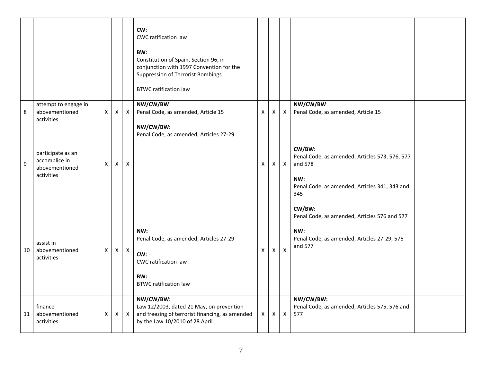|    |                                                                    |   |              |              | CW:<br>CWC ratification law<br>BW:<br>Constitution of Spain, Section 96, in<br>conjunction with 1997 Convention for the<br><b>Suppression of Terrorist Bombings</b><br><b>BTWC ratification law</b> |              |          |                           |                                                                                                                                    |  |
|----|--------------------------------------------------------------------|---|--------------|--------------|-----------------------------------------------------------------------------------------------------------------------------------------------------------------------------------------------------|--------------|----------|---------------------------|------------------------------------------------------------------------------------------------------------------------------------|--|
| 8  | attempt to engage in<br>abovementioned<br>activities               | X | X            | $\mathsf{X}$ | NW/CW/BW<br>Penal Code, as amended, Article 15                                                                                                                                                      | X            | Χ        | $\boldsymbol{\mathsf{X}}$ | NW/CW/BW<br>Penal Code, as amended, Article 15                                                                                     |  |
| 9  | participate as an<br>accomplice in<br>abovementioned<br>activities | Χ | X            | X            | NW/CW/BW:<br>Penal Code, as amended, Articles 27-29                                                                                                                                                 | X            | X        | $\mathsf{X}$              | CW/BW:<br>Penal Code, as amended, Articles 573, 576, 577<br>and 578<br>NW:<br>Penal Code, as amended, Articles 341, 343 and<br>345 |  |
| 10 | assist in<br>abovementioned<br>activities                          | X | $\mathsf{X}$ | $\mathsf{X}$ | NW:<br>Penal Code, as amended, Articles 27-29<br>CW:<br>CWC ratification law<br>BW:<br><b>BTWC ratification law</b>                                                                                 | X            | $\times$ | $\mathsf{X}$              | CW/BW:<br>Penal Code, as amended, Articles 576 and 577<br>NW:<br>Penal Code, as amended, Articles 27-29, 576<br>and 577            |  |
| 11 | finance<br>abovementioned<br>activities                            | X | X            | $\mathsf{X}$ | NW/CW/BW:<br>Law 12/2003, dated 21 May, on prevention<br>and freezing of terrorist financing, as amended<br>by the Law 10/2010 of 28 April                                                          | $\mathsf{X}$ | X        | $\boldsymbol{\mathsf{X}}$ | NW/CW/BW:<br>Penal Code, as amended, Articles 575, 576 and<br>577                                                                  |  |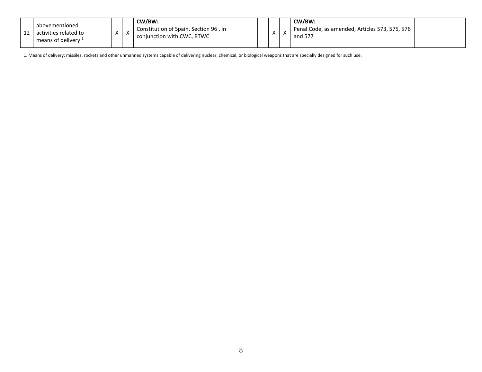| abovementioned<br>activities related to<br>means of delivery 1 | $\lambda$<br>$\lambda$ | $\sqrt{ }$ | CW/BW:<br>Constitution of Spain, Section 96, in<br>conjunction with CWC, BTWC | X | $\overline{\phantom{a}}$ | CW/BW:<br>Penal Code, as amended, Articles 573, 575, 576<br>and 577 |  |
|----------------------------------------------------------------|------------------------|------------|-------------------------------------------------------------------------------|---|--------------------------|---------------------------------------------------------------------|--|
|                                                                |                        |            |                                                                               |   |                          |                                                                     |  |

1. Means of delivery: missiles, rockets and other unmanned systems capable of delivering nuclear, chemical, or biological weapons that are specially designed for such use.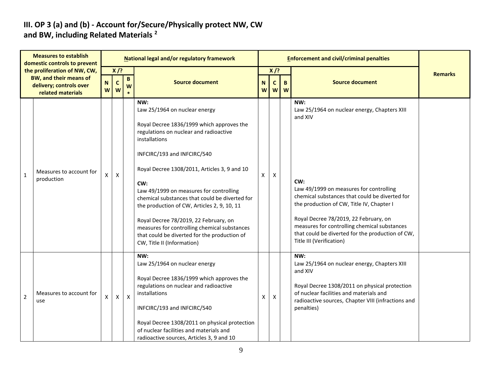#### **III. OP 3 (a) and (b) - Account for/Secure/Physically protect NW, CW and BW, including Related Materials <sup>2</sup>**

|                | <b>Measures to establish</b><br>domestic controls to prevent                                           |                  |                            |                   | National legal and/or regulatory framework                                                                                                                                                                                                                                                                                                                                                                                                                                                                                                            |                    |                             | <b>Enforcement and civil/criminal penalties</b> |                                                                                                                                                                                                                                                                                                                                                                                          |                |
|----------------|--------------------------------------------------------------------------------------------------------|------------------|----------------------------|-------------------|-------------------------------------------------------------------------------------------------------------------------------------------------------------------------------------------------------------------------------------------------------------------------------------------------------------------------------------------------------------------------------------------------------------------------------------------------------------------------------------------------------------------------------------------------------|--------------------|-----------------------------|-------------------------------------------------|------------------------------------------------------------------------------------------------------------------------------------------------------------------------------------------------------------------------------------------------------------------------------------------------------------------------------------------------------------------------------------------|----------------|
|                | the proliferation of NW, CW,<br>BW, and their means of<br>delivery; controls over<br>related materials | $\mathbf N$<br>W | $X$ /?<br>$\mathbf c$<br>W | $\mathbf{B}$<br>W | <b>Source document</b>                                                                                                                                                                                                                                                                                                                                                                                                                                                                                                                                | N<br>W             | $X$ /?<br>$\mathbf{C}$<br>W | B.<br>W                                         | <b>Source document</b>                                                                                                                                                                                                                                                                                                                                                                   | <b>Remarks</b> |
| $\mathbf{1}$   | Measures to account for<br>production                                                                  | X                | $\mathsf{x}$               |                   | NW:<br>Law 25/1964 on nuclear energy<br>Royal Decree 1836/1999 which approves the<br>regulations on nuclear and radioactive<br>installations<br>INFCIRC/193 and INFCIRC/540<br>Royal Decree 1308/2011, Articles 3, 9 and 10<br>CW:<br>Law 49/1999 on measures for controlling<br>chemical substances that could be diverted for<br>the production of CW, Articles 2, 9, 10, 11<br>Royal Decree 78/2019, 22 February, on<br>measures for controlling chemical substances<br>that could be diverted for the production of<br>CW, Title II (Information) | X                  | $\boldsymbol{\mathsf{X}}$   |                                                 | NW:<br>Law 25/1964 on nuclear energy, Chapters XIII<br>and XIV<br>CW:<br>Law 49/1999 on measures for controlling<br>chemical substances that could be diverted for<br>the production of CW, Title IV, Chapter I<br>Royal Decree 78/2019, 22 February, on<br>measures for controlling chemical substances<br>that could be diverted for the production of CW,<br>Title III (Verification) |                |
| $\overline{2}$ | Measures to account for<br>use                                                                         | X                | X                          | $\mathsf{X}$      | NW:<br>Law 25/1964 on nuclear energy<br>Royal Decree 1836/1999 which approves the<br>regulations on nuclear and radioactive<br>installations<br>INFCIRC/193 and INFCIRC/540<br>Royal Decree 1308/2011 on physical protection<br>of nuclear facilities and materials and<br>radioactive sources, Articles 3, 9 and 10                                                                                                                                                                                                                                  | $\pmb{\mathsf{X}}$ | $\pmb{\mathsf{X}}$          |                                                 | NW:<br>Law 25/1964 on nuclear energy, Chapters XIII<br>and XIV<br>Royal Decree 1308/2011 on physical protection<br>of nuclear facilities and materials and<br>radioactive sources, Chapter VIII (infractions and<br>penalties)                                                                                                                                                           |                |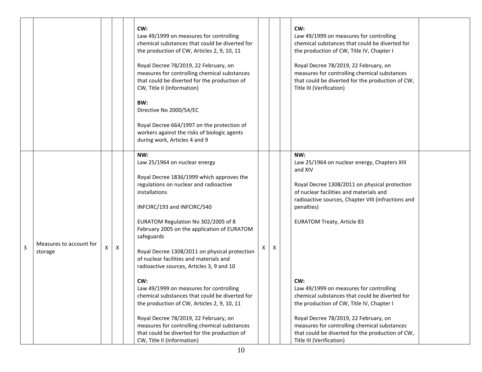|   |                                    |   |                    | CW:<br>Law 49/1999 on measures for controlling<br>chemical substances that could be diverted for<br>the production of CW, Articles 2, 9, 10, 11<br>Royal Decree 78/2019, 22 February, on<br>measures for controlling chemical substances<br>that could be diverted for the production of<br>CW, Title II (Information)<br>BW:<br>Directive No 2000/54/EC<br>Royal Decree 664/1997 on the protection of<br>workers against the risks of biologic agents<br>during work, Articles 4 and 9                                                                                                                                                                                                                                                            |   |   | CW:<br>Law 49/1999 on measures for controlling<br>chemical substances that could be diverted for<br>the production of CW, Title IV, Chapter I<br>Royal Decree 78/2019, 22 February, on<br>measures for controlling chemical substances<br>that could be diverted for the production of CW,<br>Title III (Verification)                                                                                                                                                                                                                                                                        |  |
|---|------------------------------------|---|--------------------|----------------------------------------------------------------------------------------------------------------------------------------------------------------------------------------------------------------------------------------------------------------------------------------------------------------------------------------------------------------------------------------------------------------------------------------------------------------------------------------------------------------------------------------------------------------------------------------------------------------------------------------------------------------------------------------------------------------------------------------------------|---|---|-----------------------------------------------------------------------------------------------------------------------------------------------------------------------------------------------------------------------------------------------------------------------------------------------------------------------------------------------------------------------------------------------------------------------------------------------------------------------------------------------------------------------------------------------------------------------------------------------|--|
| 3 | Measures to account for<br>storage | x | $\pmb{\mathsf{X}}$ | NW:<br>Law 25/1964 on nuclear energy<br>Royal Decree 1836/1999 which approves the<br>regulations on nuclear and radioactive<br>installations<br>INFCIRC/193 and INFCIRC/540<br>EURATOM Regulation No 302/2005 of 8<br>February 2005 on the application of EURATOM<br>safeguards<br>Royal Decree 1308/2011 on physical protection<br>of nuclear facilities and materials and<br>radioactive sources, Articles 3, 9 and 10<br>CW:<br>Law 49/1999 on measures for controlling<br>chemical substances that could be diverted for<br>the production of CW, Articles 2, 9, 10, 11<br>Royal Decree 78/2019, 22 February, on<br>measures for controlling chemical substances<br>that could be diverted for the production of<br>CW, Title II (Information) | X | X | NW:<br>Law 25/1964 on nuclear energy, Chapters XIII<br>and XIV<br>Royal Decree 1308/2011 on physical protection<br>of nuclear facilities and materials and<br>radioactive sources, Chapter VIII (infractions and<br>penalties)<br><b>EURATOM Treaty, Article 83</b><br>CW:<br>Law 49/1999 on measures for controlling<br>chemical substances that could be diverted for<br>the production of CW, Title IV, Chapter I<br>Royal Decree 78/2019, 22 February, on<br>measures for controlling chemical substances<br>that could be diverted for the production of CW,<br>Title III (Verification) |  |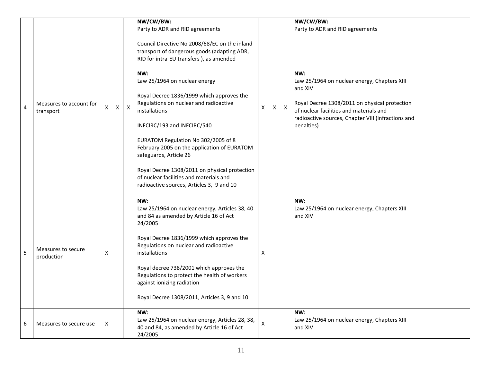| 4 | Measures to account for<br>transport | X | $\mathsf{X}$ | $\mathsf{X}$ | NW/CW/BW:<br>Party to ADR and RID agreements<br>Council Directive No 2008/68/EC on the inland<br>transport of dangerous goods (adapting ADR,<br>RID for intra-EU transfers ), as amended<br>NW:<br>Law 25/1964 on nuclear energy<br>Royal Decree 1836/1999 which approves the<br>Regulations on nuclear and radioactive<br>installations<br>INFCIRC/193 and INFCIRC/540<br>EURATOM Regulation No 302/2005 of 8<br>February 2005 on the application of EURATOM<br>safeguards, Article 26<br>Royal Decree 1308/2011 on physical protection<br>of nuclear facilities and materials and<br>radioactive sources, Articles 3, 9 and 10 | Χ | X | $\mathsf X$ | NW/CW/BW:<br>Party to ADR and RID agreements<br>NW:<br>Law 25/1964 on nuclear energy, Chapters XIII<br>and XIV<br>Royal Decree 1308/2011 on physical protection<br>of nuclear facilities and materials and<br>radioactive sources, Chapter VIII (infractions and<br>penalties) |  |
|---|--------------------------------------|---|--------------|--------------|----------------------------------------------------------------------------------------------------------------------------------------------------------------------------------------------------------------------------------------------------------------------------------------------------------------------------------------------------------------------------------------------------------------------------------------------------------------------------------------------------------------------------------------------------------------------------------------------------------------------------------|---|---|-------------|--------------------------------------------------------------------------------------------------------------------------------------------------------------------------------------------------------------------------------------------------------------------------------|--|
| 5 | Measures to secure<br>production     | х |              |              | NW:<br>Law 25/1964 on nuclear energy, Articles 38, 40<br>and 84 as amended by Article 16 of Act<br>24/2005<br>Royal Decree 1836/1999 which approves the<br>Regulations on nuclear and radioactive<br>installations<br>Royal decree 738/2001 which approves the<br>Regulations to protect the health of workers<br>against ionizing radiation<br>Royal Decree 1308/2011, Articles 3, 9 and 10                                                                                                                                                                                                                                     | X |   |             | NW:<br>Law 25/1964 on nuclear energy, Chapters XIII<br>and XIV                                                                                                                                                                                                                 |  |
| 6 | Measures to secure use               | X |              |              | NW:<br>Law 25/1964 on nuclear energy, Articles 28, 38,<br>40 and 84, as amended by Article 16 of Act<br>24/2005                                                                                                                                                                                                                                                                                                                                                                                                                                                                                                                  | X |   |             | NW:<br>Law 25/1964 on nuclear energy, Chapters XIII<br>and XIV                                                                                                                                                                                                                 |  |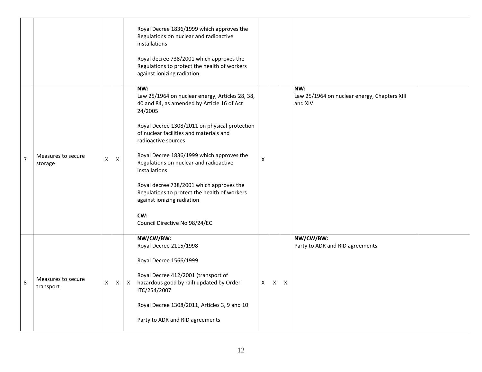|                |                                 |                |   |              | Royal Decree 1836/1999 which approves the<br>Regulations on nuclear and radioactive<br>installations<br>Royal decree 738/2001 which approves the<br>Regulations to protect the health of workers<br>against ionizing radiation                                                                                                                                                                                                                                                                               |                |              |              |                                                                |  |
|----------------|---------------------------------|----------------|---|--------------|--------------------------------------------------------------------------------------------------------------------------------------------------------------------------------------------------------------------------------------------------------------------------------------------------------------------------------------------------------------------------------------------------------------------------------------------------------------------------------------------------------------|----------------|--------------|--------------|----------------------------------------------------------------|--|
| $\overline{7}$ | Measures to secure<br>storage   | X              | X |              | NW:<br>Law 25/1964 on nuclear energy, Articles 28, 38,<br>40 and 84, as amended by Article 16 of Act<br>24/2005<br>Royal Decree 1308/2011 on physical protection<br>of nuclear facilities and materials and<br>radioactive sources<br>Royal Decree 1836/1999 which approves the<br>Regulations on nuclear and radioactive<br>installations<br>Royal decree 738/2001 which approves the<br>Regulations to protect the health of workers<br>against ionizing radiation<br>CW:<br>Council Directive No 98/24/EC | X              |              |              | NW:<br>Law 25/1964 on nuclear energy, Chapters XIII<br>and XIV |  |
| 8              | Measures to secure<br>transport | $\mathsf{X}^-$ | X | $\mathsf{X}$ | NW/CW/BW:<br>Royal Decree 2115/1998<br>Royal Decree 1566/1999<br>Royal Decree 412/2001 (transport of<br>hazardous good by rail) updated by Order<br>ITC/254/2007<br>Royal Decree 1308/2011, Articles 3, 9 and 10<br>Party to ADR and RID agreements                                                                                                                                                                                                                                                          | $\mathsf{X}^-$ | $\mathsf{X}$ | $\mathsf{X}$ | NW/CW/BW:<br>Party to ADR and RID agreements                   |  |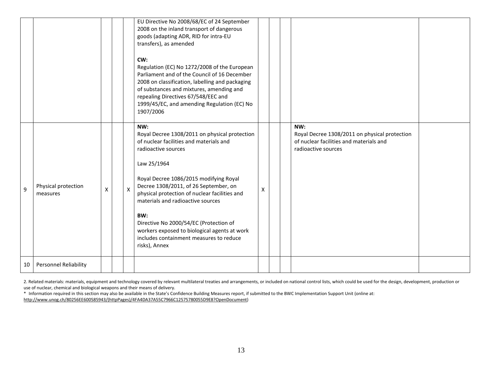|    |                                 |   |   | EU Directive No 2008/68/EC of 24 September<br>2008 on the inland transport of dangerous<br>goods (adapting ADR, RID for intra-EU<br>transfers), as amended<br>CW:<br>Regulation (EC) No 1272/2008 of the European<br>Parliament and of the Council of 16 December<br>2008 on classification, labelling and packaging<br>of substances and mixtures, amending and<br>repealing Directives 67/548/EEC and<br>1999/45/EC, and amending Regulation (EC) No<br>1907/2006         |   |  |                                                                                                                        |  |
|----|---------------------------------|---|---|-----------------------------------------------------------------------------------------------------------------------------------------------------------------------------------------------------------------------------------------------------------------------------------------------------------------------------------------------------------------------------------------------------------------------------------------------------------------------------|---|--|------------------------------------------------------------------------------------------------------------------------|--|
| 9  | Physical protection<br>measures | X | X | NW:<br>Royal Decree 1308/2011 on physical protection<br>of nuclear facilities and materials and<br>radioactive sources<br>Law 25/1964<br>Royal Decree 1086/2015 modifying Royal<br>Decree 1308/2011, of 26 September, on<br>physical protection of nuclear facilities and<br>materials and radioactive sources<br>BW:<br>Directive No 2000/54/EC (Protection of<br>workers exposed to biological agents at work<br>includes containment measures to reduce<br>risks), Annex | X |  | NW:<br>Royal Decree 1308/2011 on physical protection<br>of nuclear facilities and materials and<br>radioactive sources |  |
| 10 | Personnel Reliability           |   |   |                                                                                                                                                                                                                                                                                                                                                                                                                                                                             |   |  |                                                                                                                        |  |

2. Related materials: materials, equipment and technology covered by relevant multilateral treaties and arrangements, or included on national control lists, which could be used for the design, development, production or use of nuclear, chemical and biological weapons and their means of delivery.

\* Information required in this section may also be available in the State's Confidence Building Measures report, if submitted to the BWC Implementation Support Unit (online at: [http://www.unog.ch/80256EE600585943/\(httpPages\)/4FA4DA37A55C7966C12575780055D9E8?OpenDocument\)](http://www.unog.ch/80256EE600585943/(httpPages)/4FA4DA37A55C7966C12575780055D9E8?OpenDocument)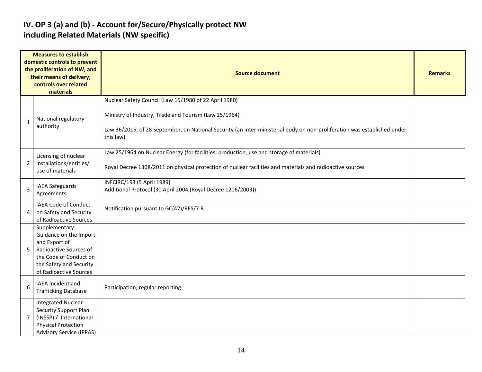#### **IV. OP 3 (a) and (b) - Account for/Secure/Physically protect NW including Related Materials (NW specific)**

|                | <b>Measures to establish</b><br>domestic controls to prevent<br>the proliferation of NW, and<br>their means of delivery;<br>controls over related<br>materials    | <b>Source document</b>                                                                                                                                                                                                                                  | <b>Remarks</b> |
|----------------|-------------------------------------------------------------------------------------------------------------------------------------------------------------------|---------------------------------------------------------------------------------------------------------------------------------------------------------------------------------------------------------------------------------------------------------|----------------|
| $\mathbf{1}$   | National regulatory<br>authority                                                                                                                                  | Nuclear Safety Council (Law 15/1980 of 22 April 1980)<br>Ministry of Industry, Trade and Tourism (Law 25/1964)<br>Law 36/2015, of 28 September, on National Security (an inter-ministerial body on non-proliferation was established under<br>this law) |                |
| $\overline{2}$ | Licensing of nuclear<br>installations/entities/<br>use of materials                                                                                               | Law 25/1964 on Nuclear Energy (for facilities; production, use and storage of materials)<br>Royal Decree 1308/2011 on physical protection of nuclear facilities and materials and radioactive sources                                                   |                |
| 3              | <b>IAEA Safeguards</b><br>Agreements                                                                                                                              | INFCIRC/193 (5 April 1989)<br>Additional Protocol (30 April 2004 (Royal Decree 1206/2003))                                                                                                                                                              |                |
| 4              | IAEA Code of Conduct<br>on Safety and Security<br>of Radioactive Sources                                                                                          | Notification pursuant to GC(47)/RES/7.B                                                                                                                                                                                                                 |                |
| 5              | Supplementary<br>Guidance on the Import<br>and Export of<br>Radioactive Sources of<br>the Code of Conduct on<br>the Safety and Security<br>of Radioactive Sources |                                                                                                                                                                                                                                                         |                |
| 6              | IAEA Incident and<br><b>Trafficking Database</b>                                                                                                                  | Participation, regular reporting.                                                                                                                                                                                                                       |                |
| $\overline{7}$ | <b>Integrated Nuclear</b><br>Security Support Plan<br>(INSSP) / International<br><b>Physical Protection</b><br><b>Advisory Service (IPPAS)</b>                    |                                                                                                                                                                                                                                                         |                |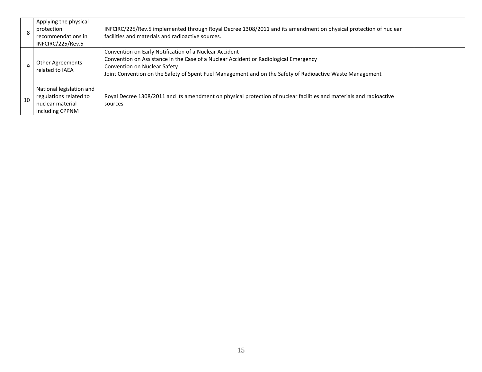|    | Applying the physical<br>protection<br>recommendations in<br>INFCIRC/225/Rev.5            | INFCIRC/225/Rev.5 implemented through Royal Decree 1308/2011 and its amendment on physical protection of nuclear<br>facilities and materials and radioactive sources.                                                                                                                       |  |
|----|-------------------------------------------------------------------------------------------|---------------------------------------------------------------------------------------------------------------------------------------------------------------------------------------------------------------------------------------------------------------------------------------------|--|
|    | <b>Other Agreements</b><br>related to IAEA                                                | Convention on Early Notification of a Nuclear Accident<br>Convention on Assistance in the Case of a Nuclear Accident or Radiological Emergency<br>Convention on Nuclear Safety<br>Joint Convention on the Safety of Spent Fuel Management and on the Safety of Radioactive Waste Management |  |
| 10 | National legislation and<br>regulations related to<br>nuclear material<br>including CPPNM | Royal Decree 1308/2011 and its amendment on physical protection of nuclear facilities and materials and radioactive<br>sources                                                                                                                                                              |  |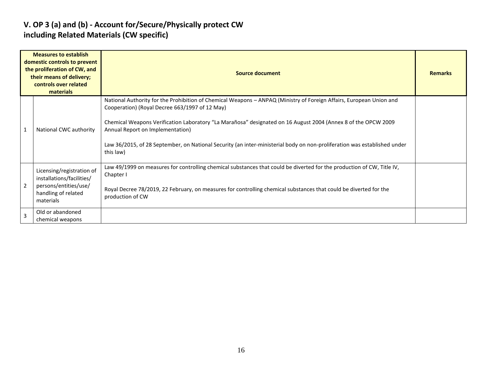#### **V. OP 3 (a) and (b) - Account for/Secure/Physically protect CW including Related Materials (CW specific)**

|                | <b>Measures to establish</b><br>domestic controls to prevent<br>the proliferation of CW, and<br>their means of delivery;<br>controls over related<br>materials | Source document                                                                                                                                                                                                                                                                                                                                                                                                                                                     |  |  |  |  |  |  |  |
|----------------|----------------------------------------------------------------------------------------------------------------------------------------------------------------|---------------------------------------------------------------------------------------------------------------------------------------------------------------------------------------------------------------------------------------------------------------------------------------------------------------------------------------------------------------------------------------------------------------------------------------------------------------------|--|--|--|--|--|--|--|
| $\overline{1}$ | National CWC authority                                                                                                                                         | National Authority for the Prohibition of Chemical Weapons - ANPAQ (Ministry of Foreign Affairs, European Union and<br>Cooperation) (Royal Decree 663/1997 of 12 May)<br>Chemical Weapons Verification Laboratory "La Marañosa" designated on 16 August 2004 (Annex 8 of the OPCW 2009<br>Annual Report on Implementation)<br>Law 36/2015, of 28 September, on National Security (an inter-ministerial body on non-proliferation was established under<br>this law) |  |  |  |  |  |  |  |
| $\overline{2}$ | Licensing/registration of<br>installations/facilities/<br>persons/entities/use/<br>handling of related<br>materials                                            | Law 49/1999 on measures for controlling chemical substances that could be diverted for the production of CW, Title IV,<br>Chapter I<br>Royal Decree 78/2019, 22 February, on measures for controlling chemical substances that could be diverted for the<br>production of CW                                                                                                                                                                                        |  |  |  |  |  |  |  |
| $\overline{3}$ | Old or abandoned<br>chemical weapons                                                                                                                           |                                                                                                                                                                                                                                                                                                                                                                                                                                                                     |  |  |  |  |  |  |  |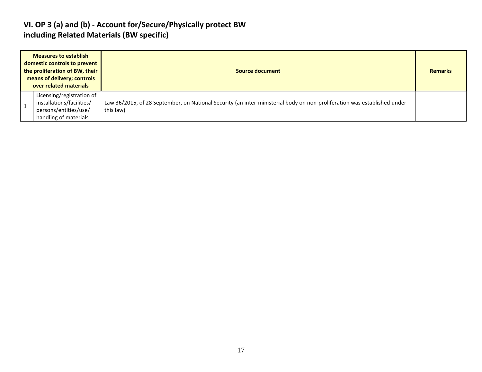#### **VI. OP 3 (a) and (b) - Account for/Secure/Physically protect BW including Related Materials (BW specific)**

| <b>Measures to establish</b><br>domestic controls to prevent<br>the proliferation of BW, their<br>means of delivery; controls<br>over related materials | Source document                                                                                                                       |  |  |  |  |  |  |
|---------------------------------------------------------------------------------------------------------------------------------------------------------|---------------------------------------------------------------------------------------------------------------------------------------|--|--|--|--|--|--|
| Licensing/registration of<br>installations/facilities/<br>persons/entities/use/<br>handling of materials                                                | Law 36/2015, of 28 September, on National Security (an inter-ministerial body on non-proliferation was established under<br>this law) |  |  |  |  |  |  |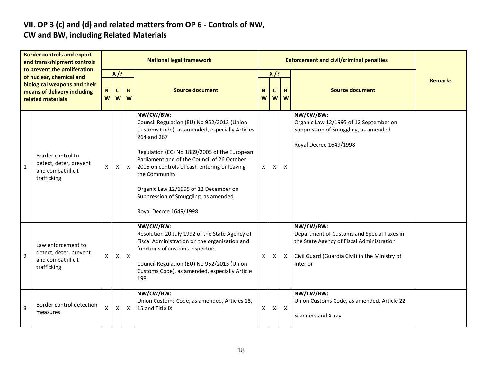# **VII. OP 3 (c) and (d) and related matters from OP 6 - Controls of NW,**

### **CW and BW, including Related Materials**

| <b>Border controls and export</b><br>and trans-shipment controls<br>to prevent the proliferation<br>of nuclear, chemical and<br>biological weapons and their<br>means of delivery including<br>related materials |                                                                                   | <b>National legal framework</b> |                                       |                           |                                                                                                                                                                                                                                                                                                                                                                                                     |        |                  | <b>Enforcement and civil/criminal penalties</b> |                                                                                                                                                                    |                |  |  |
|------------------------------------------------------------------------------------------------------------------------------------------------------------------------------------------------------------------|-----------------------------------------------------------------------------------|---------------------------------|---------------------------------------|---------------------------|-----------------------------------------------------------------------------------------------------------------------------------------------------------------------------------------------------------------------------------------------------------------------------------------------------------------------------------------------------------------------------------------------------|--------|------------------|-------------------------------------------------|--------------------------------------------------------------------------------------------------------------------------------------------------------------------|----------------|--|--|
|                                                                                                                                                                                                                  |                                                                                   | ${\bf N}$<br>W                  | $X$ /?<br>$\mathbf{C}$<br>B<br>W<br>W |                           | <b>Source document</b>                                                                                                                                                                                                                                                                                                                                                                              | N<br>W | $X$ /?<br>C<br>W | B<br>W                                          | <b>Source document</b>                                                                                                                                             | <b>Remarks</b> |  |  |
| $\mathbf{1}$                                                                                                                                                                                                     | Border control to<br>detect, deter, prevent<br>and combat illicit<br>trafficking  | X                               | Χ                                     | $\mathsf{X}$              | NW/CW/BW:<br>Council Regulation (EU) No 952/2013 (Union<br>Customs Code), as amended, especially Articles<br>264 and 267<br>Regulation (EC) No 1889/2005 of the European<br>Parliament and of the Council of 26 October<br>2005 on controls of cash entering or leaving<br>the Community<br>Organic Law 12/1995 of 12 December on<br>Suppression of Smuggling, as amended<br>Royal Decree 1649/1998 | X      | X                | X                                               | NW/CW/BW:<br>Organic Law 12/1995 of 12 September on<br>Suppression of Smuggling, as amended<br>Royal Decree 1649/1998                                              |                |  |  |
| $\overline{2}$                                                                                                                                                                                                   | Law enforcement to<br>detect, deter, prevent<br>and combat illicit<br>trafficking | X                               | $\mathsf{X}$                          | $\mathsf{X}$              | NW/CW/BW:<br>Resolution 20 July 1992 of the State Agency of<br>Fiscal Administration on the organization and<br>functions of customs inspectors<br>Council Regulation (EU) No 952/2013 (Union<br>Customs Code), as amended, especially Article<br>198                                                                                                                                               | X      | $\times$         | $\mathsf{X}$                                    | NW/CW/BW:<br>Department of Customs and Special Taxes in<br>the State Agency of Fiscal Administration<br>Civil Guard (Guardia Civil) in the Ministry of<br>Interior |                |  |  |
| 3                                                                                                                                                                                                                | Border control detection<br>measures                                              | X                               | X                                     | $\boldsymbol{\mathsf{X}}$ | NW/CW/BW:<br>Union Customs Code, as amended, Articles 13,<br>15 and Title IX                                                                                                                                                                                                                                                                                                                        | X      | Χ                | $\mathsf{X}$                                    | NW/CW/BW:<br>Union Customs Code, as amended, Article 22<br>Scanners and X-ray                                                                                      |                |  |  |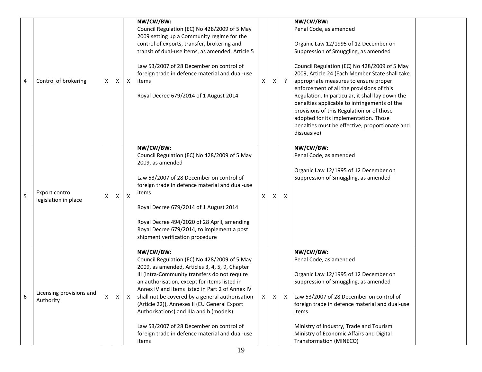| 4 | Control of brokering                   | X            | X | Χ            | NW/CW/BW:<br>Council Regulation (EC) No 428/2009 of 5 May<br>2009 setting up a Community regime for the<br>control of exports, transfer, brokering and<br>transit of dual-use items, as amended, Article 5<br>Law 53/2007 of 28 December on control of<br>foreign trade in defence material and dual-use<br>items<br>Royal Decree 679/2014 of 1 August 2014                                                                                                                                                          | X | X. | $\cdot$                   | NW/CW/BW:<br>Penal Code, as amended<br>Organic Law 12/1995 of 12 December on<br>Suppression of Smuggling, as amended<br>Council Regulation (EC) No 428/2009 of 5 May<br>2009, Article 24 (Each Member State shall take<br>appropriate measures to ensure proper<br>enforcement of all the provisions of this<br>Regulation. In particular, it shall lay down the<br>penalties applicable to infringements of the<br>provisions of this Regulation or of those<br>adopted for its implementation. Those<br>penalties must be effective, proportionate and<br>dissuasive) |  |
|---|----------------------------------------|--------------|---|--------------|----------------------------------------------------------------------------------------------------------------------------------------------------------------------------------------------------------------------------------------------------------------------------------------------------------------------------------------------------------------------------------------------------------------------------------------------------------------------------------------------------------------------|---|----|---------------------------|-------------------------------------------------------------------------------------------------------------------------------------------------------------------------------------------------------------------------------------------------------------------------------------------------------------------------------------------------------------------------------------------------------------------------------------------------------------------------------------------------------------------------------------------------------------------------|--|
| 5 | Export control<br>legislation in place | X            | X | $\mathsf{X}$ | NW/CW/BW:<br>Council Regulation (EC) No 428/2009 of 5 May<br>2009, as amended<br>Law 53/2007 of 28 December on control of<br>foreign trade in defence material and dual-use<br>items<br>Royal Decree 679/2014 of 1 August 2014<br>Royal Decree 494/2020 of 28 April, amending<br>Royal Decree 679/2014, to implement a post<br>shipment verification procedure                                                                                                                                                       | X | X  | $\boldsymbol{\mathsf{X}}$ | NW/CW/BW:<br>Penal Code, as amended<br>Organic Law 12/1995 of 12 December on<br>Suppression of Smuggling, as amended                                                                                                                                                                                                                                                                                                                                                                                                                                                    |  |
| 6 | Licensing provisions and<br>Authority  | $\mathsf{X}$ | X | Х            | NW/CW/BW:<br>Council Regulation (EC) No 428/2009 of 5 May<br>2009, as amended, Articles 3, 4, 5, 9, Chapter<br>III (intra-Community transfers do not require<br>an authorisation, except for items listed in<br>Annex IV and items listed in Part 2 of Annex IV<br>shall not be covered by a general authorisation<br>(Article 22)), Annexes II (EU General Export<br>Authorisations) and IIIa and b (models)<br>Law 53/2007 of 28 December on control of<br>foreign trade in defence material and dual-use<br>items | X | X  | $\mathsf{X}$              | NW/CW/BW:<br>Penal Code, as amended<br>Organic Law 12/1995 of 12 December on<br>Suppression of Smuggling, as amended<br>Law 53/2007 of 28 December on control of<br>foreign trade in defence material and dual-use<br>items<br>Ministry of Industry, Trade and Tourism<br>Ministry of Economic Affairs and Digital<br>Transformation (MINECO)                                                                                                                                                                                                                           |  |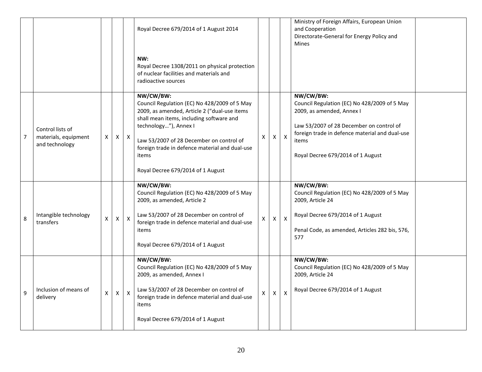|                |                                                            |              |          |              | Royal Decree 679/2014 of 1 August 2014                                                                                                                                                                                                                                                                                     |   |   |                           | Ministry of Foreign Affairs, European Union<br>and Cooperation<br>Directorate-General for Energy Policy and<br><b>Mines</b>                                                                                                        |  |
|----------------|------------------------------------------------------------|--------------|----------|--------------|----------------------------------------------------------------------------------------------------------------------------------------------------------------------------------------------------------------------------------------------------------------------------------------------------------------------------|---|---|---------------------------|------------------------------------------------------------------------------------------------------------------------------------------------------------------------------------------------------------------------------------|--|
|                |                                                            |              |          |              | NW:<br>Royal Decree 1308/2011 on physical protection<br>of nuclear facilities and materials and<br>radioactive sources                                                                                                                                                                                                     |   |   |                           |                                                                                                                                                                                                                                    |  |
| $\overline{7}$ | Control lists of<br>materials, equipment<br>and technology | X            | X        | $\mathsf{X}$ | NW/CW/BW:<br>Council Regulation (EC) No 428/2009 of 5 May<br>2009, as amended, Article 2 ("dual-use items<br>shall mean items, including software and<br>technology"), Annex I<br>Law 53/2007 of 28 December on control of<br>foreign trade in defence material and dual-use<br>items<br>Royal Decree 679/2014 of 1 August | Х | Χ | $\mathsf{X}$              | NW/CW/BW:<br>Council Regulation (EC) No 428/2009 of 5 May<br>2009, as amended, Annex I<br>Law 53/2007 of 28 December on control of<br>foreign trade in defence material and dual-use<br>items<br>Royal Decree 679/2014 of 1 August |  |
| 8              | Intangible technology<br>transfers                         | X            | X        | $\mathsf{X}$ | NW/CW/BW:<br>Council Regulation (EC) No 428/2009 of 5 May<br>2009, as amended, Article 2<br>Law 53/2007 of 28 December on control of<br>foreign trade in defence material and dual-use<br>items<br>Royal Decree 679/2014 of 1 August                                                                                       | X | X | $\mathsf{X}$              | NW/CW/BW:<br>Council Regulation (EC) No 428/2009 of 5 May<br>2009, Article 24<br>Royal Decree 679/2014 of 1 August<br>Penal Code, as amended, Articles 282 bis, 576,<br>577                                                        |  |
| 9              | Inclusion of means of<br>delivery                          | $\mathsf{x}$ | $x \mid$ | $\mathsf{X}$ | NW/CW/BW:<br>Council Regulation (EC) No 428/2009 of 5 May<br>2009, as amended, Annex I<br>Law 53/2007 of 28 December on control of<br>foreign trade in defence material and dual-use<br>items<br>Royal Decree 679/2014 of 1 August                                                                                         | X | X | $\boldsymbol{\mathsf{X}}$ | NW/CW/BW:<br>Council Regulation (EC) No 428/2009 of 5 May<br>2009, Article 24<br>Royal Decree 679/2014 of 1 August                                                                                                                 |  |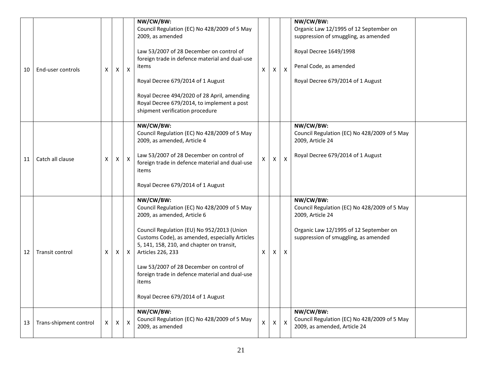| 10 | End-user controls      | х              | Χ            | $\boldsymbol{\mathsf{X}}$ | NW/CW/BW:<br>Council Regulation (EC) No 428/2009 of 5 May<br>2009, as amended<br>Law 53/2007 of 28 December on control of<br>foreign trade in defence material and dual-use<br>items<br>Royal Decree 679/2014 of 1 August<br>Royal Decree 494/2020 of 28 April, amending<br>Royal Decree 679/2014, to implement a post<br>shipment verification procedure                                              | X            | х | $\boldsymbol{\mathsf{X}}$ | NW/CW/BW:<br>Organic Law 12/1995 of 12 September on<br>suppression of smuggling, as amended<br>Royal Decree 1649/1998<br>Penal Code, as amended<br>Royal Decree 679/2014 of 1 August |  |
|----|------------------------|----------------|--------------|---------------------------|--------------------------------------------------------------------------------------------------------------------------------------------------------------------------------------------------------------------------------------------------------------------------------------------------------------------------------------------------------------------------------------------------------|--------------|---|---------------------------|--------------------------------------------------------------------------------------------------------------------------------------------------------------------------------------|--|
| 11 | Catch all clause       | X              | X            | $\mathsf{X}$              | NW/CW/BW:<br>Council Regulation (EC) No 428/2009 of 5 May<br>2009, as amended, Article 4<br>Law 53/2007 of 28 December on control of<br>foreign trade in defence material and dual-use<br>items<br>Royal Decree 679/2014 of 1 August                                                                                                                                                                   | $\mathsf{x}$ | X | $\boldsymbol{\mathsf{X}}$ | NW/CW/BW:<br>Council Regulation (EC) No 428/2009 of 5 May<br>2009, Article 24<br>Royal Decree 679/2014 of 1 August                                                                   |  |
| 12 | Transit control        | Χ              | $\mathsf{X}$ | X                         | NW/CW/BW:<br>Council Regulation (EC) No 428/2009 of 5 May<br>2009, as amended, Article 6<br>Council Regulation (EU) No 952/2013 (Union<br>Customs Code), as amended, especially Articles<br>5, 141, 158, 210, and chapter on transit,<br>Articles 226, 233<br>Law 53/2007 of 28 December on control of<br>foreign trade in defence material and dual-use<br>items<br>Royal Decree 679/2014 of 1 August | X            | X | $\boldsymbol{X}$          | NW/CW/BW:<br>Council Regulation (EC) No 428/2009 of 5 May<br>2009, Article 24<br>Organic Law 12/1995 of 12 September on<br>suppression of smuggling, as amended                      |  |
| 13 | Trans-shipment control | $\mathsf{X}^-$ | X            | $\mathsf{x}$              | NW/CW/BW:<br>Council Regulation (EC) No 428/2009 of 5 May<br>2009, as amended                                                                                                                                                                                                                                                                                                                          | $\mathsf X$  | X | $\mathsf{X}$              | NW/CW/BW:<br>Council Regulation (EC) No 428/2009 of 5 May<br>2009, as amended, Article 24                                                                                            |  |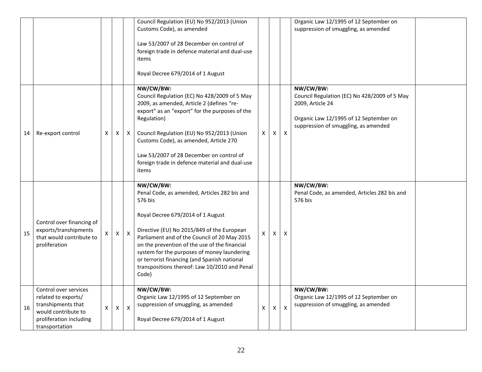|    |                                                                                                                                        |              |                |                | Council Regulation (EU) No 952/2013 (Union<br>Customs Code), as amended<br>Law 53/2007 of 28 December on control of<br>foreign trade in defence material and dual-use<br>items<br>Royal Decree 679/2014 of 1 August                                                                                                                                                                                               |                |   |                           | Organic Law 12/1995 of 12 September on<br>suppression of smuggling, as amended                                                                                  |  |
|----|----------------------------------------------------------------------------------------------------------------------------------------|--------------|----------------|----------------|-------------------------------------------------------------------------------------------------------------------------------------------------------------------------------------------------------------------------------------------------------------------------------------------------------------------------------------------------------------------------------------------------------------------|----------------|---|---------------------------|-----------------------------------------------------------------------------------------------------------------------------------------------------------------|--|
| 14 | Re-export control                                                                                                                      | X            | $\times$       | X              | NW/CW/BW:<br>Council Regulation (EC) No 428/2009 of 5 May<br>2009, as amended, Article 2 (defines "re-<br>export" as an "export" for the purposes of the<br>Regulation)<br>Council Regulation (EU) No 952/2013 (Union<br>Customs Code), as amended, Article 270<br>Law 53/2007 of 28 December on control of<br>foreign trade in defence material and dual-use<br>items                                            | $\mathsf{X}^-$ | X | X                         | NW/CW/BW:<br>Council Regulation (EC) No 428/2009 of 5 May<br>2009, Article 24<br>Organic Law 12/1995 of 12 September on<br>suppression of smuggling, as amended |  |
| 15 | Control over financing of<br>exports/transhipments<br>that would contribute to<br>proliferation                                        |              | X              | $\pmb{\times}$ | NW/CW/BW:<br>Penal Code, as amended, Articles 282 bis and<br>576 bis<br>Royal Decree 679/2014 of 1 August<br>Directive (EU) No 2015/849 of the European<br>Parliament and of the Council of 20 May 2015<br>on the prevention of the use of the financial<br>system for the purposes of money laundering<br>or terrorist financing (and Spanish national<br>transpositions thereof: Law 10/2010 and Penal<br>Code) | X.             | X | Х                         | NW/CW/BW:<br>Penal Code, as amended, Articles 282 bis and<br>576 bis                                                                                            |  |
| 16 | Control over services<br>related to exports/<br>transhipments that<br>would contribute to<br>proliferation including<br>transportation | $\mathsf{X}$ | $\pmb{\times}$ | $\pmb{\times}$ | NW/CW/BW:<br>Organic Law 12/1995 of 12 September on<br>suppression of smuggling, as amended<br>Royal Decree 679/2014 of 1 August                                                                                                                                                                                                                                                                                  | X              | X | $\boldsymbol{\mathsf{x}}$ | NW/CW/BW:<br>Organic Law 12/1995 of 12 September on<br>suppression of smuggling, as amended                                                                     |  |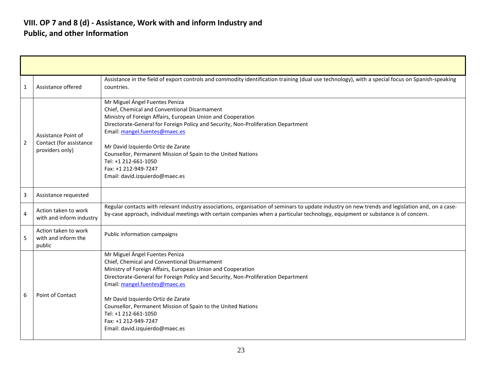#### **VIII. OP 7 and 8 (d) - Assistance, Work with and inform Industry and Public, and other Information**

| $\mathbf{1}$            | Assistance offered                                                | Assistance in the field of export controls and commodity identification training (dual use technology), with a special focus on Spanish-speaking<br>countries.                                                                                                                                                                                                                                                                                              |
|-------------------------|-------------------------------------------------------------------|-------------------------------------------------------------------------------------------------------------------------------------------------------------------------------------------------------------------------------------------------------------------------------------------------------------------------------------------------------------------------------------------------------------------------------------------------------------|
| $\overline{2}$          | Assistance Point of<br>Contact (for assistance<br>providers only) | Mr Miguel Ángel Fuentes Peniza<br>Chief, Chemical and Conventional Disarmament<br>Ministry of Foreign Affairs, European Union and Cooperation<br>Directorate-General for Foreign Policy and Security, Non-Proliferation Department<br>Email: mangel.fuentes@maec.es<br>Mr David Izquierdo Ortiz de Zarate<br>Counsellor, Permanent Mission of Spain to the United Nations<br>Tel: +1 212-661-1050<br>Fax: +1 212-949-7247<br>Email: david.izquierdo@maec.es |
| $\overline{\mathbf{3}}$ | Assistance requested                                              |                                                                                                                                                                                                                                                                                                                                                                                                                                                             |
| $\overline{4}$          | Action taken to work<br>with and inform industry                  | Regular contacts with relevant industry associations, organisation of seminars to update industry on new trends and legislation and, on a case-<br>by-case approach, individual meetings with certain companies when a particular technology, equipment or substance is of concern.                                                                                                                                                                         |
| -5                      | Action taken to work<br>with and inform the<br>public             | Public information campaigns                                                                                                                                                                                                                                                                                                                                                                                                                                |
| 6                       | Point of Contact                                                  | Mr Miguel Ángel Fuentes Peniza<br>Chief, Chemical and Conventional Disarmament<br>Ministry of Foreign Affairs, European Union and Cooperation<br>Directorate-General for Foreign Policy and Security, Non-Proliferation Department<br>Email: mangel.fuentes@maec.es<br>Mr David Izquierdo Ortiz de Zarate<br>Counsellor, Permanent Mission of Spain to the United Nations<br>Tel: +1 212-661-1050<br>Fax: +1 212-949-7247<br>Email: david.izquierdo@maec.es |